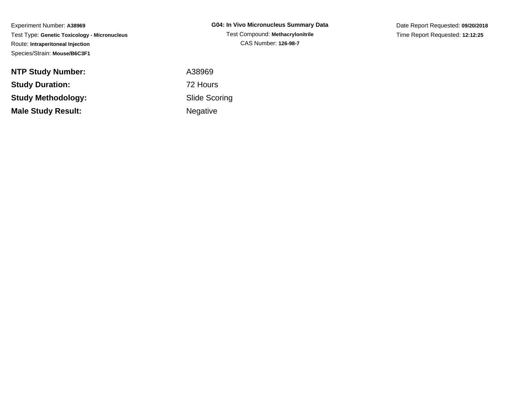Experiment Number: **A38969** Test Type: **Genetic Toxicology - Micronucleus**Route: **Intraperitoneal Injection**Species/Strain: **Mouse/B6C3F1**

**NTP Study Number:Study Duration:**

**Study Methodology:**

**Male Study Result:**

**G04: In Vivo Micronucleus Summary Data**Test Compound: **Methacrylonitrile**CAS Number: **126-98-7**

Date Report Requested: **09/20/2018**Time Report Requested: **12:12:25**

 A38969 72 Hours Slide ScoringNegative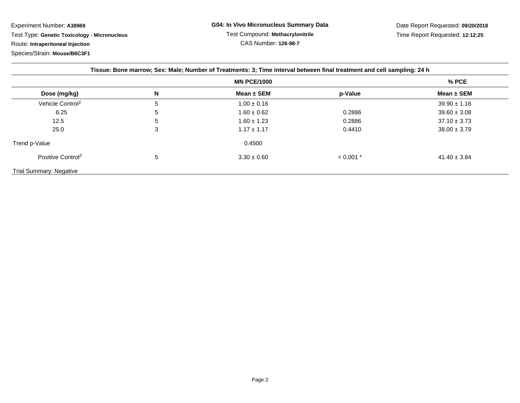Experiment Number: **A38969**Test Type: **Genetic Toxicology - Micronucleus**

Route: **Intraperitoneal Injection**

Species/Strain: **Mouse/B6C3F1**

| Tissue: Bone marrow; Sex: Male; Number of Treatments: 3; Time interval between final treatment and cell sampling: 24 h |   |                 |             |                  |
|------------------------------------------------------------------------------------------------------------------------|---|-----------------|-------------|------------------|
| <b>MN PCE/1000</b>                                                                                                     |   |                 |             | $%$ PCE          |
| Dose (mg/kg)                                                                                                           | N | Mean $\pm$ SEM  | p-Value     | Mean $\pm$ SEM   |
| Vehicle Control <sup>1</sup>                                                                                           | 5 | $1.00 \pm 0.16$ |             | $39.90 \pm 1.16$ |
| 6.25                                                                                                                   | 5 | $1.60 \pm 0.62$ | 0.2886      | $39.60 \pm 3.08$ |
| 12.5                                                                                                                   | 5 | $1.60 \pm 1.23$ | 0.2886      | $37.10 \pm 3.73$ |
| 25.0                                                                                                                   | 3 | $1.17 \pm 1.17$ | 0.4410      | $38.00 \pm 3.79$ |
| Trend p-Value                                                                                                          |   | 0.4500          |             |                  |
| Positive Control <sup>2</sup>                                                                                          | 5 | $3.30 \pm 0.60$ | $< 0.001$ * | $41.40 \pm 3.84$ |
| <b>Trial Summary: Negative</b>                                                                                         |   |                 |             |                  |